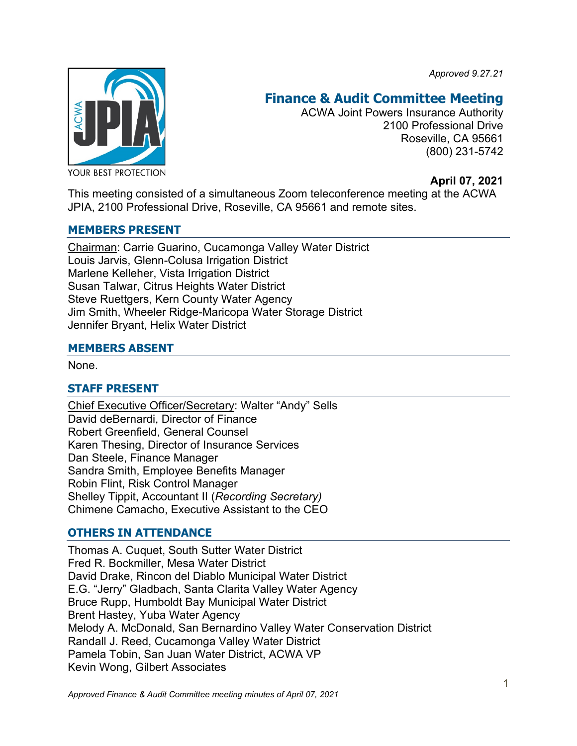*Approved 9.27.21*



# **Finance & Audit Committee Meeting**

ACWA Joint Powers Insurance Authority 2100 Professional Drive Roseville, CA 95661 (800) 231-5742

**April 07, 2021**

This meeting consisted of a simultaneous Zoom teleconference meeting at the ACWA JPIA, 2100 Professional Drive, Roseville, CA 95661 and remote sites.

# **MEMBERS PRESENT**

Chairman: Carrie Guarino, Cucamonga Valley Water District Louis Jarvis, Glenn-Colusa Irrigation District Marlene Kelleher, Vista Irrigation District Susan Talwar, Citrus Heights Water District Steve Ruettgers, Kern County Water Agency Jim Smith, Wheeler Ridge-Maricopa Water Storage District Jennifer Bryant, Helix Water District

# **MEMBERS ABSENT**

None.

# **STAFF PRESENT**

Chief Executive Officer/Secretary: Walter "Andy" Sells David deBernardi, Director of Finance Robert Greenfield, General Counsel Karen Thesing, Director of Insurance Services Dan Steele, Finance Manager Sandra Smith, Employee Benefits Manager Robin Flint, Risk Control Manager Shelley Tippit, Accountant II (*Recording Secretary)* Chimene Camacho, Executive Assistant to the CEO

# **OTHERS IN ATTENDANCE**

Thomas A. Cuquet, South Sutter Water District Fred R. Bockmiller, Mesa Water District David Drake, Rincon del Diablo Municipal Water District E.G. "Jerry" Gladbach, Santa Clarita Valley Water Agency Bruce Rupp, Humboldt Bay Municipal Water District Brent Hastey, Yuba Water Agency Melody A. McDonald, San Bernardino Valley Water Conservation District Randall J. Reed, Cucamonga Valley Water District Pamela Tobin, San Juan Water District, ACWA VP Kevin Wong, Gilbert Associates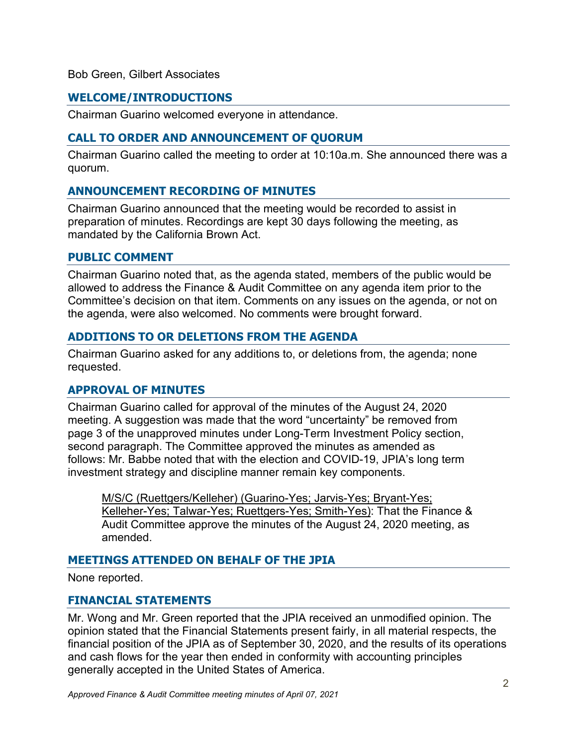#### Bob Green, Gilbert Associates

# **WELCOME/INTRODUCTIONS**

Chairman Guarino welcomed everyone in attendance.

#### **CALL TO ORDER AND ANNOUNCEMENT OF QUORUM**

Chairman Guarino called the meeting to order at 10:10a.m. She announced there was a quorum.

# **ANNOUNCEMENT RECORDING OF MINUTES**

Chairman Guarino announced that the meeting would be recorded to assist in preparation of minutes. Recordings are kept 30 days following the meeting, as mandated by the California Brown Act.

#### **PUBLIC COMMENT**

Chairman Guarino noted that, as the agenda stated, members of the public would be allowed to address the Finance & Audit Committee on any agenda item prior to the Committee's decision on that item. Comments on any issues on the agenda, or not on the agenda, were also welcomed. No comments were brought forward.

#### **ADDITIONS TO OR DELETIONS FROM THE AGENDA**

Chairman Guarino asked for any additions to, or deletions from, the agenda; none requested.

#### **APPROVAL OF MINUTES**

Chairman Guarino called for approval of the minutes of the August 24, 2020 meeting. A suggestion was made that the word "uncertainty" be removed from page 3 of the unapproved minutes under Long-Term Investment Policy section, second paragraph. The Committee approved the minutes as amended as follows: Mr. Babbe noted that with the election and COVID-19, JPIA's long term investment strategy and discipline manner remain key components.

M/S/C (Ruettgers/Kelleher) (Guarino-Yes; Jarvis-Yes; Bryant-Yes; Kelleher-Yes; Talwar-Yes; Ruettgers-Yes; Smith-Yes): That the Finance & Audit Committee approve the minutes of the August 24, 2020 meeting, as amended.

# **MEETINGS ATTENDED ON BEHALF OF THE JPIA**

None reported.

#### **FINANCIAL STATEMENTS**

Mr. Wong and Mr. Green reported that the JPIA received an unmodified opinion. The opinion stated that the Financial Statements present fairly, in all material respects, the financial position of the JPIA as of September 30, 2020, and the results of its operations and cash flows for the year then ended in conformity with accounting principles generally accepted in the United States of America.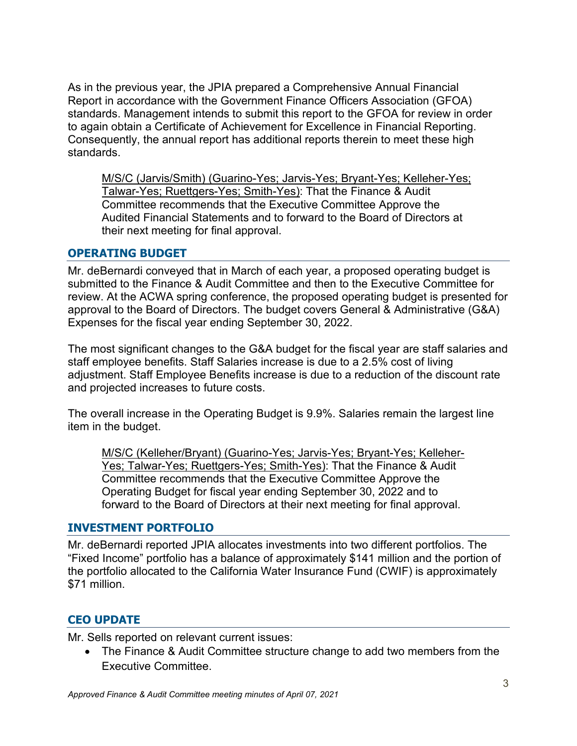As in the previous year, the JPIA prepared a Comprehensive Annual Financial Report in accordance with the Government Finance Officers Association (GFOA) standards. Management intends to submit this report to the GFOA for review in order to again obtain a Certificate of Achievement for Excellence in Financial Reporting. Consequently, the annual report has additional reports therein to meet these high standards.

M/S/C (Jarvis/Smith) (Guarino-Yes; Jarvis-Yes; Bryant-Yes; Kelleher-Yes; Talwar-Yes; Ruettgers-Yes; Smith-Yes): That the Finance & Audit Committee recommends that the Executive Committee Approve the Audited Financial Statements and to forward to the Board of Directors at their next meeting for final approval.

# **OPERATING BUDGET**

Mr. deBernardi conveyed that in March of each year, a proposed operating budget is submitted to the Finance & Audit Committee and then to the Executive Committee for review. At the ACWA spring conference, the proposed operating budget is presented for approval to the Board of Directors. The budget covers General & Administrative (G&A) Expenses for the fiscal year ending September 30, 2022.

The most significant changes to the G&A budget for the fiscal year are staff salaries and staff employee benefits. Staff Salaries increase is due to a 2.5% cost of living adjustment. Staff Employee Benefits increase is due to a reduction of the discount rate and projected increases to future costs.

The overall increase in the Operating Budget is 9.9%. Salaries remain the largest line item in the budget.

M/S/C (Kelleher/Bryant) (Guarino-Yes; Jarvis-Yes; Bryant-Yes; Kelleher-Yes; Talwar-Yes; Ruettgers-Yes; Smith-Yes): That the Finance & Audit Committee recommends that the Executive Committee Approve the Operating Budget for fiscal year ending September 30, 2022 and to forward to the Board of Directors at their next meeting for final approval.

#### **INVESTMENT PORTFOLIO**

Mr. deBernardi reported JPIA allocates investments into two different portfolios. The "Fixed Income" portfolio has a balance of approximately \$141 million and the portion of the portfolio allocated to the California Water Insurance Fund (CWIF) is approximately \$71 million.

# **CEO UPDATE**

Mr. Sells reported on relevant current issues:

• The Finance & Audit Committee structure change to add two members from the Executive Committee.